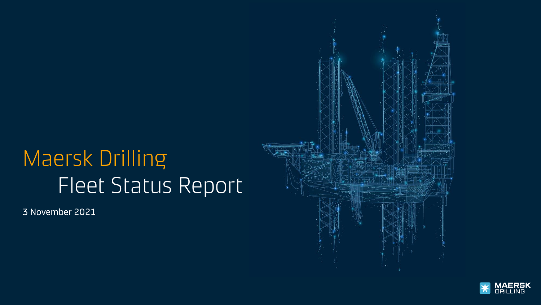# Maersk Drilling Fleet Status Report

3 November 2021



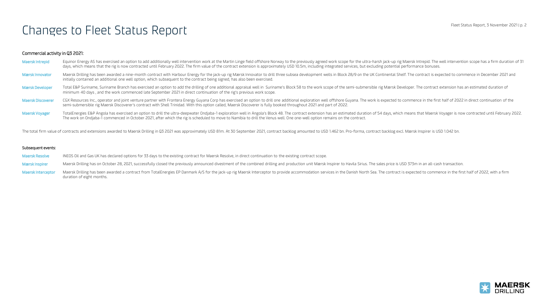### Commercial activity in Q3 2021:

- Maersk Intrepid Equinor Energy AS has exercised an option to add additionally well intervention work at the Martin Linge field offshore Norway to the previously agreed work scope for the ultra-harsh jack-up rig Maersk Intr days, which means that the rig is now contracted until February 2022. The firm value of the contract extension is approximately USD 10.5m, including integrated services, but excluding potential performance bonuses. Mærsk Innovator Maersk Drilling has been awarded a nine-month contract with Harbour Energy for the jack-up rig Mærsk Innovator to drill three subsea development wells in Block 28/9 on the UK Continental Shelf. The contract initially contained an additional one well option, which subsequent to the contract being signed, has also been exercised.
- Mærsk Developer Total E&P Suriname, Suriname Branch has exercised an option to add the drilling of one additional appraisal well in Suriname's Block 58 to the work scope of the semi-submersible rig Mærsk Developer. The con minimum 40 days , and the work commenced late September 2021 in direct continuation of the rig's previous work scope.
- Maersk Discoverer CGX Resources Inc., operator and joint venture partner with Frontera Energy Guyana Corp has exercised an option to drill one additional exploration well offshore Guyana. The work is expected to commence i semi-submersible rig Maersk Discoverer's contract with Shell Trinidad. With this option called, Maersk Discoverer is fully booked throughout 2021 and part of 2022.
- Maersk Voyager TotalEnergies E&P Angola has exercised an option to drill the ultra-deepwater Ondjaba-1 exploration well in Angola's Block 48. The contract extension has an estimated duration of 54 days, which means that Ma The work on Ondjaba-1 commenced in October 2021, after which the rig is scheduled to move to Namibia to drill the Venus well. One one-well option remains on the contract.

The total firm value of contracts and extensions awarded to Maersk Drilling in Q3 2021 was approximately USD 81m. At 30 September 2021, contract backlog amounted to USD 1.462 bn. Pro-forma, contract backlog excl. Mærsk Ins

#### Subsequent events:

- Maersk Resolve INEOS Oil and Gas UK has declared options for 33 days to the existing contract for Maersk Resolve, in direct continuation to the existing contract scope.
- Maersk Inspirer Maersk Drilling has on October 28, 2021, successfully closed the previously announced divestment of the combined drilling and production unit Maersk Inspirer to Havila Sirius. The sales price is USD 373m in
- Maersk Interceptor Maersk Drilling has been awarded a contract from TotalEnergies EP Danmark A/S for the jack-up rig Maersk Interceptor to provide accommodation services in the Danish North Sea. The contract is expected to duration of eight months.

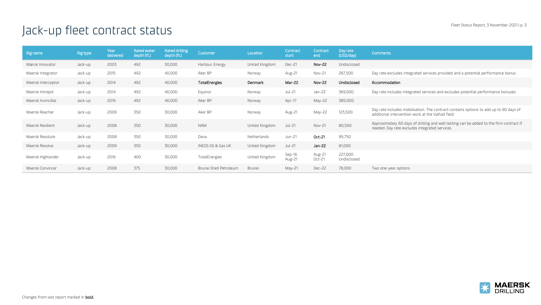## Jack-up fleet contract status

| Rig name           | <b>Rig type</b> | Year<br>delivered | Rated water<br>depth (ft.) | Rated drilling<br>depth (ft.) | Customer               | Location       | Contract<br>start | Contract<br>end  | Day rate<br>(USD/day)  | Comments                                                                                                                                   |
|--------------------|-----------------|-------------------|----------------------------|-------------------------------|------------------------|----------------|-------------------|------------------|------------------------|--------------------------------------------------------------------------------------------------------------------------------------------|
| Mærsk Innovator    | Jack-up         | 2003              | 492                        | 30,000                        | Harbour Energy         | United Kingdom | Dec-21            | <b>Nov-22</b>    | Undisclosed            |                                                                                                                                            |
| Maersk Integrator  | Jack-up         | 2015              | 492                        | 40,000                        | Aker BP                | Norway         | Aug-21            | Nov-21           | 267,500                | Day rate excludes integrated services provided and a potential performance bonus                                                           |
| Maersk Interceptor | Jack-up         | 2014              | 492                        | 40,000                        | TotalEnergies          | Denmark        | Mar-22            | <b>Nov-22</b>    | Undisclosed            | Accommodation                                                                                                                              |
| Maersk Intrepid    | Jack-up         | 2014              | 492                        | 40,000                        | Equinor                | Norway         | Jul-21            | Jan-22           | 369,000                | Day rate includes integrated services and excludes potential performance bonuses                                                           |
| Maersk Invincible  | Jack-up         | 2016              | 492                        | 40,000                        | Aker BP                | Norway         | Apr-17            | May-22           | 385,000                |                                                                                                                                            |
| Maersk Reacher     | Jack-up         | 2009              | 350                        | 30,000                        | Aker BP                | Norway         | Aug-21            | May-22           | 123,500                | Day rate includes mobilisation. The contract contains options to add up to 90 days of<br>additional intervention work at the Valhall field |
| Maersk Resilient   | Jack-up         | 2008              | 350                        | 30,000                        | <b>NAM</b>             | United Kingdom | <b>Jul-21</b>     | Nov-21           | 80,500                 | Approximately 60 days of drilling and well testing can be added to the firm contract if<br>needed. Day rate excludes integrated services   |
| Maersk Resolute    | Jack-up         | 2008              | 350                        | 30,000                        | Dana                   | Netherlands    | Jun-21            | Oct-21           | 99,750                 |                                                                                                                                            |
| Maersk Resolve     | Jack-up         | 2009              | 350                        | 30,000                        | INEOS Oil & Gas UK     | United Kingdom | Jul-21            | Jan-22           | 81,000                 |                                                                                                                                            |
| Maersk Highlander  | Jack-up         | 2016              | 400                        | 30,000                        | TotalEnergies          | United Kingdom | Sep-16<br>Aug-21  | Aug-21<br>Oct-21 | 227,000<br>Undisclosed |                                                                                                                                            |
| Maersk Convincer   | Jack-up         | 2008              | 375                        | 30,000                        | Brunei Shell Petroleum | Brunei         | May-21            | Dec-22           | 78,000                 | Two one-year options                                                                                                                       |

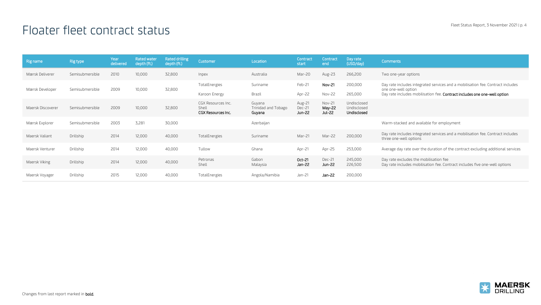### Floater fleet contract status

| Rig name          | Rig type        | Year<br>delivered | <b>Rated water</b><br>depth (ft.) | Rated drilling<br>depth (ft.) | Customer                                                 | Location                                | Contract<br>start          | Contract<br>end            | Day rate<br>(USD/day)                     | <b>Comments</b>                                                                                                                                                                     |
|-------------------|-----------------|-------------------|-----------------------------------|-------------------------------|----------------------------------------------------------|-----------------------------------------|----------------------------|----------------------------|-------------------------------------------|-------------------------------------------------------------------------------------------------------------------------------------------------------------------------------------|
| Mærsk Deliverer   | Semisubmersible | 2010              | 10,000                            | 32,800                        | Inpex                                                    | Australia                               | Mar-20                     | Aug-23                     | 266,200                                   | Two one-year options                                                                                                                                                                |
| Mærsk Developer   | Semisubmersible | 2009              | 10,000                            | 32,800                        | TotalEnergies<br>Karoon Energy                           | Suriname<br>Brazil                      | Feb-21<br>Apr-22           | Nov-21<br>Nov-22           | 200,000<br>265,000                        | Day rate includes integrated services and a mobilisation fee. Contract includes<br>one one-well option<br>Day rate includes mobilisation fee. Contract includes one one-well option |
| Maersk Discoverer | Semisubmersible | 2009              | 10,000                            | 32,800                        | CGX Resources Inc.<br>Shell<br><b>CGX Resources Inc.</b> | Guyana<br>Trinidad and Tobago<br>Guyana | Aug-21<br>Dec-21<br>Jun-22 | Nov-21<br>May-22<br>Jul-22 | Undisclosed<br>Undisclosed<br>Undisclosed |                                                                                                                                                                                     |
| Mærsk Explorer    | Semisubmersible | 2003              | 3.281                             | 30,000                        |                                                          | Azerbaijan                              |                            |                            |                                           | Warm-stacked and available for employment                                                                                                                                           |
| Maersk Valiant    | Drillship       | 2014              | 12,000                            | 40,000                        | TotalEnergies                                            | Suriname                                | Mar-21                     | Mar-22                     | 200,000                                   | Day rate includes integrated services and a mobilisation fee. Contract includes<br>three one-well options                                                                           |
| Maersk Venturer   | Drillship       | 2014              | 12,000                            | 40,000                        | Tullow                                                   | Ghana                                   | Apr-21                     | Apr-25                     | 253,000                                   | Average day rate over the duration of the contract excluding additional services                                                                                                    |
| Maersk Viking     | Drillship       | 2014              | 12,000                            | 40,000                        | Petronas<br>Shell                                        | Gabon<br>Malaysia                       | Oct-21<br>Jan-22           | Dec-21<br>Jun-22           | 245,000<br>226,500                        | Day rate excludes the mobilisation fee<br>Day rate includes mobilisation fee. Contract includes five one-well options                                                               |
| Maersk Voyager    | Drillship       | 2015              | 12,000                            | 40,000                        | TotalEnergies                                            | Angola/Namibia                          | $Jan-21$                   | Jan-22                     | 200,000                                   |                                                                                                                                                                                     |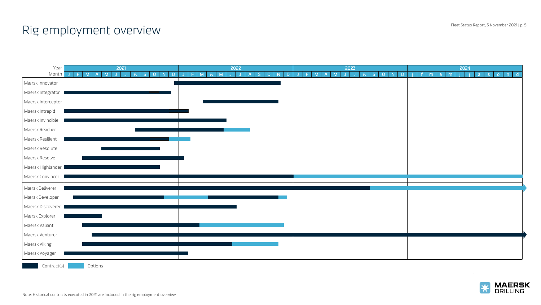### Rig employment overview